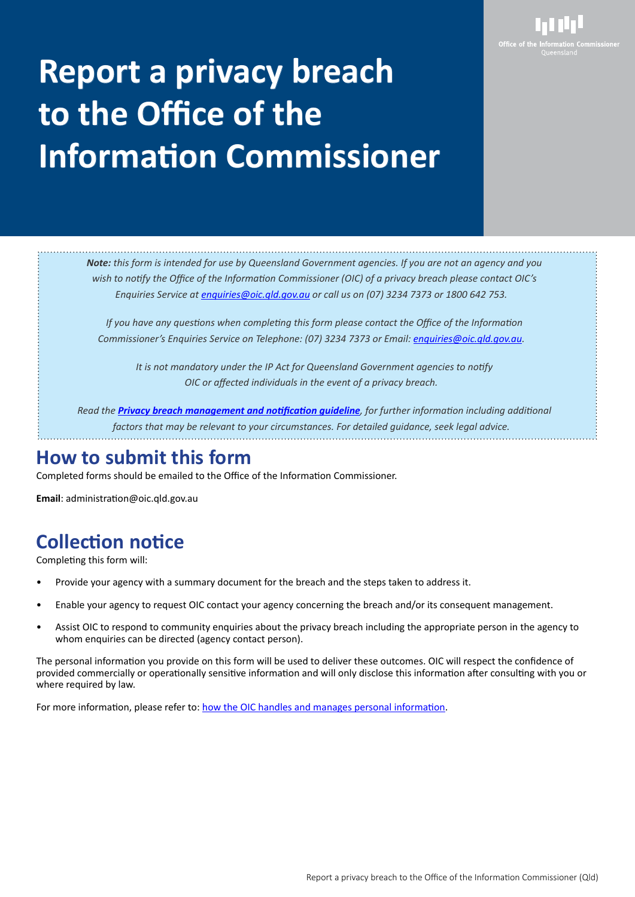

# **Report a privacy breach breach to the Office of the the Information Commissioner**

*Note: this form is intended for use by Queensland Government agencies. If you are not an agency and you wish to notify the Office of the Information Commissioner (OIC) of a privacy breach please contact OIC's Enquiries Service at <u>[enquiries@oic.qld.gov.au](mailto:enquiries%40oic.qld.gov.au?subject=)</u> or call us on (07) 3234 7373 or 1800 642 753.* 

*If you have any questions when completing this form please contact the Office of the Information Commissioner's Enquiries Service on Telephone: (07) 3234 7373 or Email: . [enquiries@oic.qld.gov.au.](mailto:enquiries%40oic.qld.gov.au?subject=)* 

*It is not mandatory under the IP Act for Queensland Government agencies to notify OIC or affected individuals in the event of a privacy breach.*

Read the *[Privacy breach management and notification guideline](https://www.oic.qld.gov.au/guidelines/for-government/guidelines-privacy-principles/privacy-compliance/privacy-breach-management-and-notification), for further information including additional* factors that may be relevant to your circumstances. For detailed guidance, seek legal advice.

# **How to submit this form**

Completed forms should be emailed to the Office of the Information Commissioner.

**Email**: administration@oic.qld.gov.au

# **Collection notice**

Completing this form will:

- Provide your agency with a summary document for the breach and the steps taken to address it.
- Enable your agency to request OIC contact your agency concerning the breach and/or its consequent management.
- Assist OIC to respond to community enquiries about the privacy breach including the appropriate person in the agency to whom enquiries can be directed (agency contact person).

The personal information you provide on this form will be used to deliver these outcomes. OIC will respect the confidence of provided commercially or operationally sensitive information and will only disclose this information after consulting with you or where required by law.

For more information, please refer to: [how the OIC handles and manages personal information](https://www.oic.qld.gov.au/privacy-policy).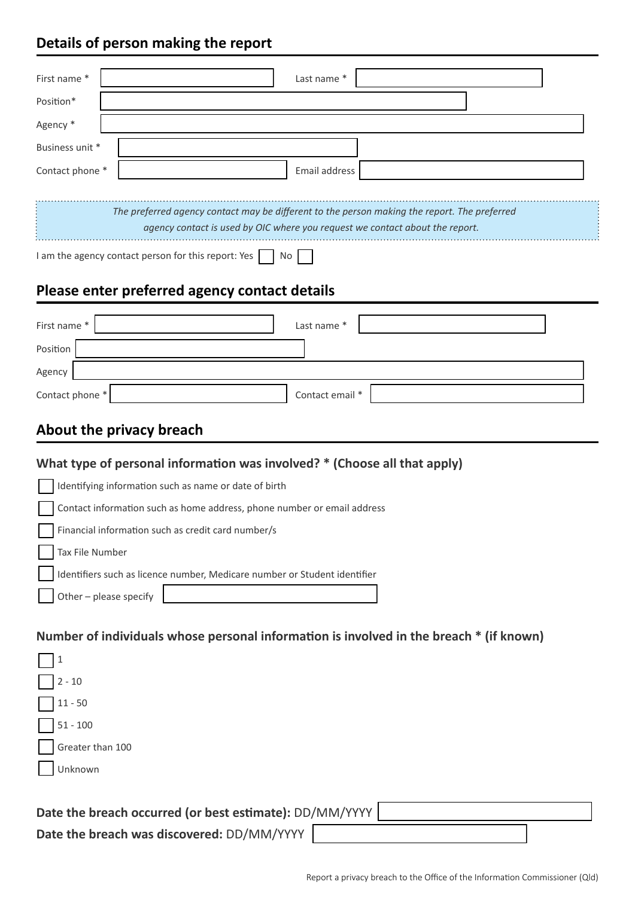# **Details of person making the report**

| First name*                                                                                                                                                                  | Last name *   |  |  |
|------------------------------------------------------------------------------------------------------------------------------------------------------------------------------|---------------|--|--|
| Position*                                                                                                                                                                    |               |  |  |
| Agency *                                                                                                                                                                     |               |  |  |
| Business unit *                                                                                                                                                              |               |  |  |
| Contact phone *                                                                                                                                                              | Email address |  |  |
|                                                                                                                                                                              |               |  |  |
| The preferred agency contact may be different to the person making the report. The preferred<br>agency contact is used by OIC where you request we contact about the report. |               |  |  |
| I am the agency contact person for this report: Yes<br>No                                                                                                                    |               |  |  |
| Please enter preferred agency contact details                                                                                                                                |               |  |  |
| First name*                                                                                                                                                                  | Last name *   |  |  |
| Position                                                                                                                                                                     |               |  |  |
| Agency                                                                                                                                                                       |               |  |  |

# **About the privacy breach**

# **What type of personal information was involved? \* (Choose all that apply)**

| Identifying information such as name or date of birth                     |
|---------------------------------------------------------------------------|
| Contact information such as home address, phone number or email address   |
| Financial information such as credit card number/s                        |
| Tax File Number                                                           |
| Identifiers such as licence number, Medicare number or Student identifier |
| Other - please specify                                                    |

Contact phone \* contact email \* Contact email \*

#### **Number of individuals whose personal information is involved in the breach \* (if known)**

| $\sqrt{2-10}$                                           |  |  |
|---------------------------------------------------------|--|--|
| $11 - 50$                                               |  |  |
| $51 - 100$                                              |  |  |
| Greater than 100                                        |  |  |
| Unknown                                                 |  |  |
|                                                         |  |  |
| Date the breach occurred (or best estimate): DD/MM/YYYY |  |  |

**Date the breach was discovered:** DD/MM/YYYY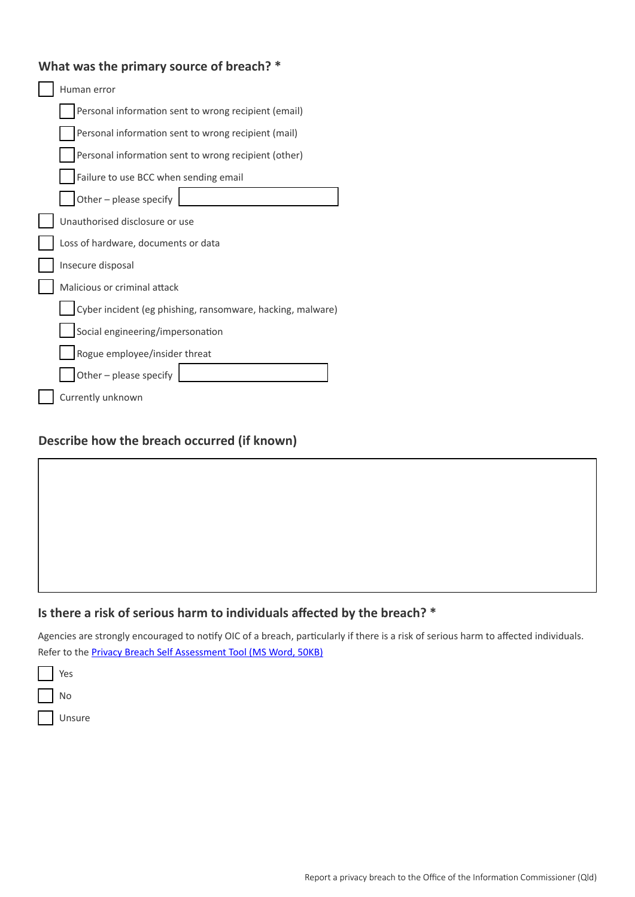# **What was the primary source of breach? \***

| Human error                                                |  |
|------------------------------------------------------------|--|
| Personal information sent to wrong recipient (email)       |  |
| Personal information sent to wrong recipient (mail)        |  |
| Personal information sent to wrong recipient (other)       |  |
| Failure to use BCC when sending email                      |  |
| Other - please specify                                     |  |
| Unauthorised disclosure or use                             |  |
| Loss of hardware, documents or data                        |  |
| Insecure disposal                                          |  |
| Malicious or criminal attack                               |  |
| Cyber incident (eg phishing, ransomware, hacking, malware) |  |
| Social engineering/impersonation                           |  |
| Rogue employee/insider threat                              |  |
| Other - please specify                                     |  |
| Currently unknown                                          |  |

#### **Describe how the breach occurred (if known)**

#### **Is there a risk of serious harm to individuals affected by the breach? \***

Agencies are strongly encouraged to notify OIC of a breach, particularly if there is a risk of serious harm to affected individuals. Refer to the **[Privacy Breach Self Assessment Tool](https://www.oic.qld.gov.au/__data/assets/word_doc/0011/47693/Privacy-Breach-Self-Assessment-Tool.docx) (MS Word, 50KB)** 

Yes Yes No No Unsure